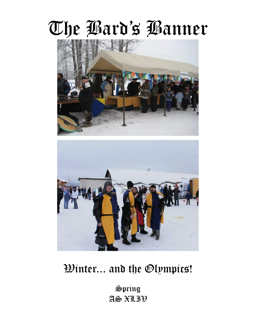# The Bard's Banner





### Winter... and the Olympics!

Spring AS XLIV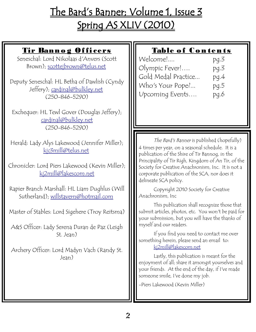## The Bard's Banner; Volume 1, Issue 3 Spring AS XLIV (2010)

| <u>Tir Bannog Officers</u><br>Seneschal: Lord Nikolaas d'Anvers (Scott<br>Brown); scottejbrown@telus.net<br>Deputy Seneschal: HL Betha of Dawlish (Cyndy<br>Jeffery); cardinal@bulkley.net<br>$(250 - 846 - 5290)$ | Table of Contents<br>Welcome!<br>pq.3<br>Olympic Fever!<br>pq.3<br>Gold Medal Practice<br>pq.4<br>Who's Your Pope?<br>pq.5<br>Upcoming Events<br>pq.6                                                                     |
|--------------------------------------------------------------------------------------------------------------------------------------------------------------------------------------------------------------------|---------------------------------------------------------------------------------------------------------------------------------------------------------------------------------------------------------------------------|
| Exchequer: HL Tewl Gover (Douglas Jeffery);<br>cardinal@bulkley.net<br>$(250 - 846 - 5290)$                                                                                                                        |                                                                                                                                                                                                                           |
| Herald: Lady Alys Lakewood (Jennifer Miller);<br>kjc3mill@telus.net                                                                                                                                                | The Bard's Banner is published (hopefully)<br>4 times per year, on a seasonal schedule. It is a<br>publication of the Shire of Tir Bannog, in the                                                                         |
| Chronicler: Lord Piers Lakewood (Kevin Miller);<br><u>kj2mill@lakescom.net</u>                                                                                                                                     | Principality of Tir Righ, Kingdom of An Tir, of the<br>Society for Creative Anachronism, Inc. It is not a<br>corporate publication of the SCA, nor does it<br>delineate SCA policy.                                       |
| Rapier Branch Marshall: HL Liam Dughlus (Will<br>Sutherland); willstavern@hotmail.com                                                                                                                              | Copyright 2010 Society for Creative<br>Anachronism, Inc                                                                                                                                                                   |
| Master of Stables: Lord Sigehere (Troy Reitsma)<br>A&S Officer: Lady Serena Duran de Paz (Leigh                                                                                                                    | This publication shall recognize those that<br>submit articles, photos, etc. You won't be paid for<br>your submission, but you will have the thanks of<br>myself and our readers.                                         |
| St. Jean)                                                                                                                                                                                                          | If you find you need to contact me over<br>something herein, please send an email to:<br>kj2mill@lakescom.net                                                                                                             |
| Archery Officer: Lord Madyn Vach (Randy St.<br>Jean)                                                                                                                                                               | Lastly, this publication is meant for the<br>enjoyment of all; share it amongst yourselves and<br>your friends. At the end of the day, if I've made<br>someone smile, I've done my job.<br>-Piers Lakewood (Kevin Miller) |
|                                                                                                                                                                                                                    |                                                                                                                                                                                                                           |

Щ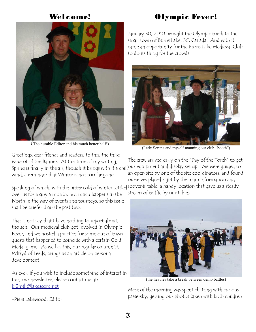#### Welc ome!





(The humble Editor and his much better half!)

January 30, 2010 brought the Olympic torch to the small town of Burns Lake, BC, Canada. And with it came an opportunity for the Burns Lake Medieval Club to do its thing for the crowds!



(Lady Serena and myself manning our club "booth")

Greetings, dear friends and readers, to this, the third issue of of the Banner. At this time of my writing, Spring is finally in the air, though it brings with it a chill our equipment and display set up. We were guided to wind, a reminder that Winter is not too far gone. The crew arrived early on the "Day of the Torch" to get an open site by one of the site coordinators, and found

Speaking of which, with the bitter cold of winter settled souvenir table, a handy location that gave us a steady ourselves placed right by the main information and stream of traffic by our tables.

over us for many a month, not much happens in the North in the way of events and tourneys, so this issue shall be briefer than the past two.

That is not say that I have nothing to report about, though. Our medieval club got involved in Olympic Fever, and we hosted a practice for some out of town guests that happened to coincide with a certain Gold Medal game. As well as this, our regular columnist, Wlfryd of Leeds, brings us an article on persona development.

As ever, if you wish to include something of interest in this, our newsletter, please contact me at: [kj2mill@lakescom.net](mailto:kj2mill@lakescom.net)



(the heavies take a break between demo battles)

Most of the morning was spent chatting with curious passersby, getting our photos taken with both children

-Piers Lakewood, Editor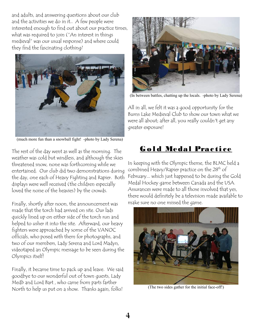and adults, and answering questions about our club and the activities we do in it.. A few people were interested enough to find out about our practice times, what was required to join ("An interest in things medieval" was our usual response) and where could they find the fascinating clothing?



(much more fun than a snowball fight! -photo by Lady Serena)

The rest of the day went as well as the morning. The weather was cold but windless, and although the skies threatened snow, none was forthcoming while we entertained. Our club did two demonstrations during the day, one each of Heavy Fighting and Rapier. Both displays were well received (the children especially loved the noise of the heavies) by the crowds.

Finally, shortly after noon, the announcement was made that the torch had arrived on site. Our lads quickly lined up on either side of the torch run and helped to usher it into the site. Afterward, our heavy fighters were approached by some of the VANOC officials, who posed with them for photographs, and two of our members, Lady Serena and Lord Madyn, videotaped an Olympic message to be seen during the Olympics itself!

Finally, it became time to pack up and leave. We said goodbye to our wonderful out of town guests, Lady Medb and Lord Bart , who came from parts farther North to help us put on a show. Thanks again, folks!



(In between battles, chatting up the locals. -photo by Lady Serena)

All in all, we felt it was a good opportunity for the Burns Lake Medieval Club to show our town what we were all about; after all, you really couldn't get any greater exposure!

#### Gold Medal Practice

In keeping with the Olympic theme, the BLMC held a combined Heavy/Rapier practice on the 28<sup>th</sup> of February... which just happened to be during the Gold Medal Hockey game between Canada and the USA. Assurances were made to all those involved that yes, there would definitely be a television made available to make sure no one missed the game.



(The two sides gather for the initial face-off!)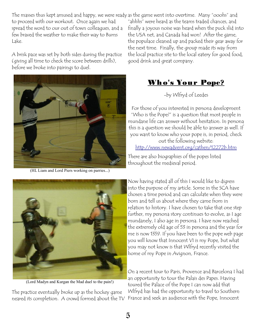The masses thus kept amused and happy, we were ready as the game went into overtime. Many "ooohs" and to proceed with our workout. Once again we had spread the word to our out of town colleagues, and a few braved the weather to make their way to Burns Lake.

A brisk pace was set by both sides during the practice (giving all time to check the score between drills), before we broke into pairings to duel.



(HL Liam and Lord Piers working on parries...)

"ahhhs" were heard as the teams traded chances, and finally a joyous noise was heard when the puck slid into the USA net, and Canada had won! After the game, the populace cleaned up and packed their gear away for the next time. Finally, the group made its way from the local practice site to the local eatery for good food, good drink and great company.

### Who's Your Pope?

-by Wlfryd of Leedes

For those of you interested in persona development "Who is the Pope?" is a question that most people in mundane life can answer without hesitation. In persona this is a question we should be able to answer as well. If you want to know who your pope is, in period, check out the following website:

<http://www.newadvent.org/cathen/12272b.htm>

There are also biographies of the popes listed throughout the medieval period.



(Lord Madyn and Kurgan the Mad duel to the pain!)

The practice eventually broke up as the hockey game neared its completion. A crowd formed about the TV

Now having stated all of this I would like to digress into the purpose of my article. Some in the SCA have chosen a time period and can calculate when they were born and tell us about where they came from in relation to history. I have chosen to take that one step further, my persona story continues to evolve, as I age mundanely, I also age in persona. I have now reached the extremely old age of 53 in persona and the year for me is now 1359. If you have been to the pope web page you will know that Innocent VI is my Pope, but what you may not know is that Wlfryd recently visited the home of my Pope in Avignon, France.

On a recent tour to Paris, Provence and Barcelona I had an opportunity to tour the Palais des Papes. Having toured the Palace of the Pope I can now add that Wlfryd has had the opportunity to travel to Southern France and seek an audience with the Pope, Innocent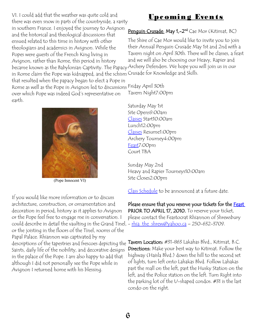VI. I could add that the weather was quite cold and there was even snow in parts of the countryside, a rarity in southern France. I enjoyed the journey to Avignon and the historical and theological discussions that ensued related to this time in history with other theologians and academics in Avignon. While the Popes were guests of the French King living in Avignon, rather than Rome, this period in history became known as the Babylonian Captivity. The Papacy Archery Defenders. We hope you will join us in our

#### Upcoming Events

#### Penquin Crusade: May 1,-2<sup>nd</sup> Cae Mor (Kitimat, BC)

in Rome claim the Pope was kidnapped, and the schism Crusade for Knowledge and Skills. The Shire of Cae Mor would like to invite you to join their Annual Penguin Crusade May 1st and 2nd with a Tavern night on April 30th. There will be classes, a feast and we will also be choosing our Heavy, Rapier and

that resulted when the papacy began to elect a Pope in Rome as well as the Pope in Avignon led to discussions Friday April 30th over which Pope was indeed God's representative on earth.



(Pope Innocent VI)

If you would like more information or to discuss architecture, construction, or ornamentation and decoration in period, history as it applies to Avignon or the Pope feel free to engage me in conversation. I could describe in detail the vaulting in the Grand Tinel, - <u>rhia\_the\_shrew@yahoo.ca</u> - 250-632-3709. or the joisting in the floors of the Tinel, rooms of the Papal Palace. Rhiannon was captivated by my descriptions of the tapestries and frescoes depicting the **Tavern Location:** #31-863 Lakahas Blvd., Kitimat, B.C. Saints, daily life of the nobility, and decorative designs in the palace of the Pope. I am also happy to add that although I did not personally see the Pope while in Avignon I returned home with his blessing.

Tavern Night7:00pm

Saturday May 1st Site Opens9:00am [Classes](http://caemor.tirrigh.org/classes.html) Start10:00am Lunch12:00pm [Classes](http://caemor.tirrigh.org/classes.html) Resume1:00pm Archery Tourney4:00pm [Feast7](http://caemor.tirrigh.org/feast.html):00pm Court TBA

Sunday May 2nd Heavy and Rapier Tourneys10:00am Site Closes2:00pm

[Class Schedule](http://caemor.tirrigh.org/classes.html) to be announced at a future date.

Please ensure that you reserve your tickets for the Feast PRIOR TO APRIL 17, 2010. To reserve your ticket, please contact the Feastocrat Rhiannon of Shrewsbury

Directions: Make your best way to Kitimat. Follow the highway (Haisla Blvd.) down the hill to the second set of lights, turn left onto Lahakas Blvd. Follow Lahakas past the mall on the left, past the Husky Station on the left, and the Police station on the left. Turn Right into the parking lot of the U-shaped condos. #31 is the last condo on the right.